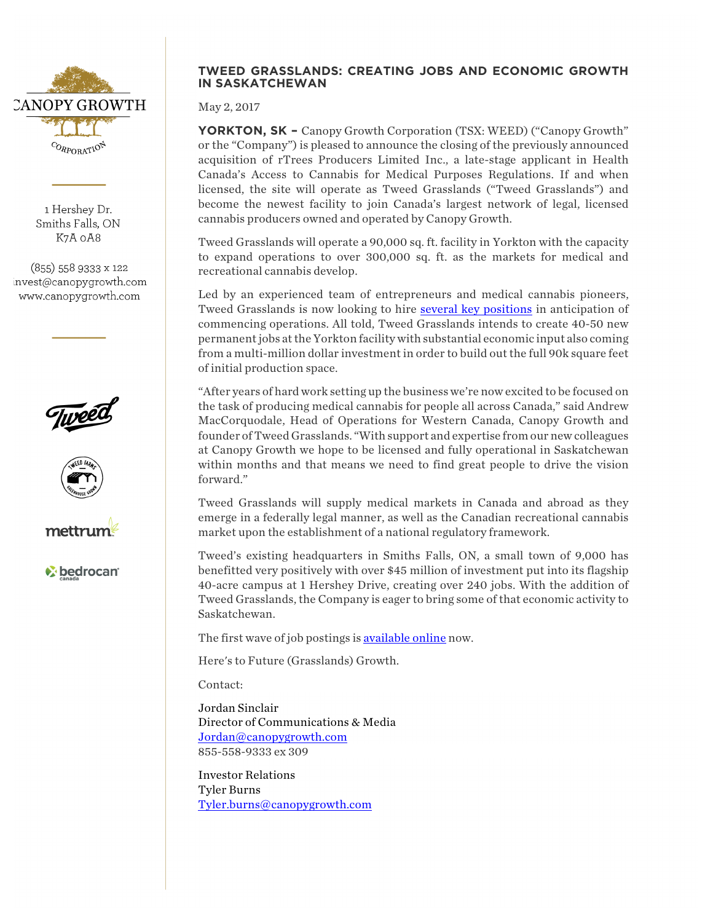

1 Hershey Dr. Smiths Falls, ON K7A 0A8

 $(855)$  558 9333 x 122 invest@canopygrowth.com www.canopygrowth.com







*C* bedrocan

## **TWEED GRASSLANDS: CREATING JOBS AND ECONOMIC GROWTH IN SASKATCHEWAN**

May 2, 2017

**YORKTON, SK –** Canopy Growth Corporation (TSX: WEED) ("Canopy Growth" or the "Company") is pleased to announce the closing of the previously announced acquisition of rTrees Producers Limited Inc., a late-stage applicant in Health Canada's Access to Cannabis for Medical Purposes Regulations. If and when licensed, the site will operate as Tweed Grasslands ("Tweed Grasslands") and become the newest facility to join Canada's largest network of legal, licensed cannabis producers owned and operated by Canopy Growth.

Tweed Grasslands will operate a 90,000 sq. ft. facility in Yorkton with the capacity to expand operations to over 300,000 sq. ft. as the markets for medical and recreational cannabis develop.

Led by an experienced team of entrepreneurs and medical cannabis pioneers, Tweed Grasslands is now looking to hire several key positions in anticipation of commencing operations. All told, Tweed Grasslands intends to create 40-50 new permanentjobs at the Yorkton facility with substantial economic input also coming from a multi-million dollar investment in order to build out the full 90k square feet of initial production space.

"After years of hard work setting up the business we're now excited to be focused on the task of producing medical cannabis for people all across Canada," said Andrew MacCorquodale, Head of Operations for Western Canada, Canopy Growth and founder of Tweed Grasslands. "With support and expertise from our new colleagues at Canopy Growth we hope to be licensed and fully operational in Saskatchewan within months and that means we need to find great people to drive the vision forward."

Tweed Grasslands will supply medical markets in Canada and abroad as they emerge in a federally legal manner, as well as the Canadian recreational cannabis market upon the establishment of a national regulatory framework.

Tweed's existing headquarters in Smiths Falls, ON, a small town of 9,000 has benefitted very positively with over \$45 million of investment put into its flagship 40-acre campus at 1 Hershey Drive, creating over 240 jobs. With the addition of Tweed Grasslands, the Company is eager to bring some of that economic activity to Saskatchewan.

The first wave of job postings is available online now.

Here's to Future (Grasslands) Growth.

Contact:

Jordan Sinclair Director of Communications & Media Jordan@canopygrowth.com 855-558-9333 ex 309

Investor Relations Tyler Burns Tyler.burns@canopygrowth.com